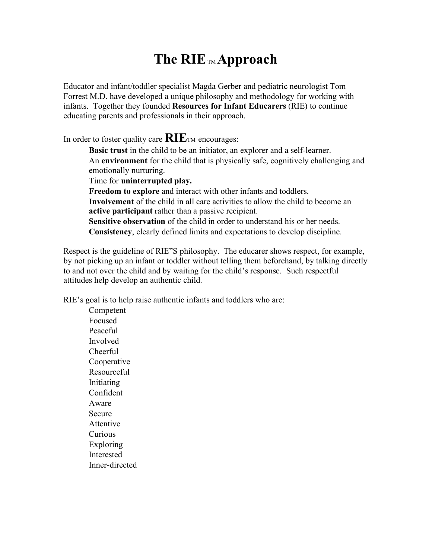## **The RIE** TM **Approach**

Educator and infant/toddler specialist Magda Gerber and pediatric neurologist Tom Forrest M.D. have developed a unique philosophy and methodology for working with infants. Together they founded **Resources for Infant Educarers** (RIE) to continue educating parents and professionals in their approach.

In order to foster quality care  $\mathbf{RIE}_{\text{TM}}$  encourages:

**Basic trust** in the child to be an initiator, an explorer and a self-learner. An **environment** for the child that is physically safe, cognitively challenging and emotionally nurturing.

Time for **uninterrupted play.**

 **Freedom to explore** and interact with other infants and toddlers. **Involvement** of the child in all care activities to allow the child to become an **active participant** rather than a passive recipient. **Sensitive observation** of the child in order to understand his or her needs.

**Consistency**, clearly defined limits and expectations to develop discipline.

Respect is the guideline of RIE"S philosophy. The educarer shows respect, for example, by not picking up an infant or toddler without telling them beforehand, by talking directly to and not over the child and by waiting for the child's response. Such respectful attitudes help develop an authentic child.

RIE's goal is to help raise authentic infants and toddlers who are:

 Competent Focused Peaceful Involved Cheerful Cooperative Resourceful Initiating Confident Aware Secure Attentive Curious Exploring Interested Inner-directed